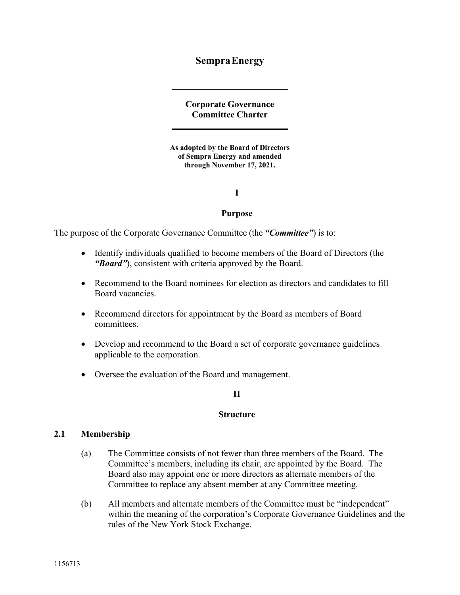# **Sempra Energy**

**Corporate Governance Committee Charter** 

**As adopted by the Board of Directors of Sempra Energy and amended through November 17, 2021.** 

**I** 

#### **Purpose**

The purpose of the Corporate Governance Committee (the *"Committee"*) is to:

- Identify individuals qualified to become members of the Board of Directors (the *"Board"*), consistent with criteria approved by the Board.
- Recommend to the Board nominees for election as directors and candidates to fill Board vacancies.
- Recommend directors for appointment by the Board as members of Board committees.
- Develop and recommend to the Board a set of corporate governance guidelines applicable to the corporation.
- Oversee the evaluation of the Board and management.

# **II**

#### **Structure**

### **2.1 Membership**

- (a) The Committee consists of not fewer than three members of the Board. The Committee's members, including its chair, are appointed by the Board. The Board also may appoint one or more directors as alternate members of the Committee to replace any absent member at any Committee meeting.
- (b) All members and alternate members of the Committee must be "independent" within the meaning of the corporation's Corporate Governance Guidelines and the rules of the New York Stock Exchange.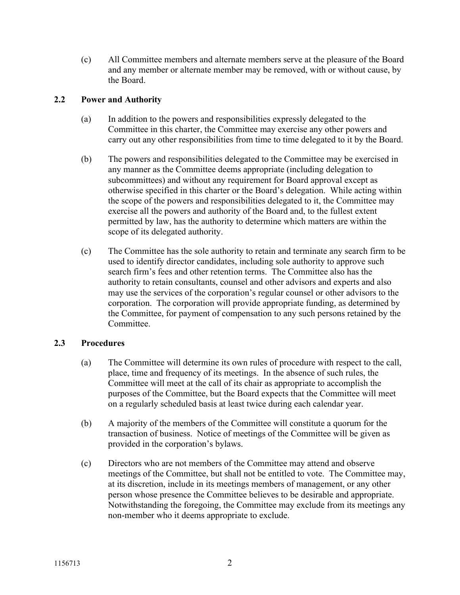(c) All Committee members and alternate members serve at the pleasure of the Board and any member or alternate member may be removed, with or without cause, by the Board.

# **2.2 Power and Authority**

- (a) In addition to the powers and responsibilities expressly delegated to the Committee in this charter, the Committee may exercise any other powers and carry out any other responsibilities from time to time delegated to it by the Board.
- (b) The powers and responsibilities delegated to the Committee may be exercised in any manner as the Committee deems appropriate (including delegation to subcommittees) and without any requirement for Board approval except as otherwise specified in this charter or the Board's delegation. While acting within the scope of the powers and responsibilities delegated to it, the Committee may exercise all the powers and authority of the Board and, to the fullest extent permitted by law, has the authority to determine which matters are within the scope of its delegated authority.
- (c) The Committee has the sole authority to retain and terminate any search firm to be used to identify director candidates, including sole authority to approve such search firm's fees and other retention terms. The Committee also has the authority to retain consultants, counsel and other advisors and experts and also may use the services of the corporation's regular counsel or other advisors to the corporation. The corporation will provide appropriate funding, as determined by the Committee, for payment of compensation to any such persons retained by the Committee.

### **2.3 Procedures**

- (a) The Committee will determine its own rules of procedure with respect to the call, place, time and frequency of its meetings. In the absence of such rules, the Committee will meet at the call of its chair as appropriate to accomplish the purposes of the Committee, but the Board expects that the Committee will meet on a regularly scheduled basis at least twice during each calendar year.
- (b) A majority of the members of the Committee will constitute a quorum for the transaction of business. Notice of meetings of the Committee will be given as provided in the corporation's bylaws.
- (c) Directors who are not members of the Committee may attend and observe meetings of the Committee, but shall not be entitled to vote. The Committee may, at its discretion, include in its meetings members of management, or any other person whose presence the Committee believes to be desirable and appropriate. Notwithstanding the foregoing, the Committee may exclude from its meetings any non-member who it deems appropriate to exclude.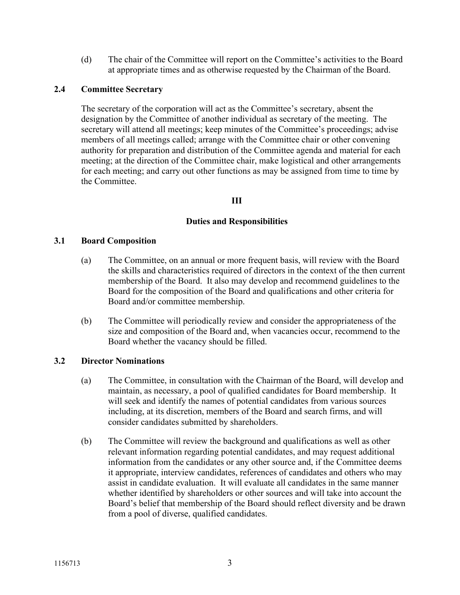(d) The chair of the Committee will report on the Committee's activities to the Board at appropriate times and as otherwise requested by the Chairman of the Board.

# **2.4 Committee Secretary**

The secretary of the corporation will act as the Committee's secretary, absent the designation by the Committee of another individual as secretary of the meeting. The secretary will attend all meetings; keep minutes of the Committee's proceedings; advise members of all meetings called; arrange with the Committee chair or other convening authority for preparation and distribution of the Committee agenda and material for each meeting; at the direction of the Committee chair, make logistical and other arrangements for each meeting; and carry out other functions as may be assigned from time to time by the Committee.

# **III**

### **Duties and Responsibilities**

### **3.1 Board Composition**

- (a) The Committee, on an annual or more frequent basis, will review with the Board the skills and characteristics required of directors in the context of the then current membership of the Board. It also may develop and recommend guidelines to the Board for the composition of the Board and qualifications and other criteria for Board and/or committee membership.
- (b) The Committee will periodically review and consider the appropriateness of the size and composition of the Board and, when vacancies occur, recommend to the Board whether the vacancy should be filled.

### **3.2 Director Nominations**

- (a) The Committee, in consultation with the Chairman of the Board, will develop and maintain, as necessary, a pool of qualified candidates for Board membership. It will seek and identify the names of potential candidates from various sources including, at its discretion, members of the Board and search firms, and will consider candidates submitted by shareholders.
- (b) The Committee will review the background and qualifications as well as other relevant information regarding potential candidates, and may request additional information from the candidates or any other source and, if the Committee deems it appropriate, interview candidates, references of candidates and others who may assist in candidate evaluation. It will evaluate all candidates in the same manner whether identified by shareholders or other sources and will take into account the Board's belief that membership of the Board should reflect diversity and be drawn from a pool of diverse, qualified candidates.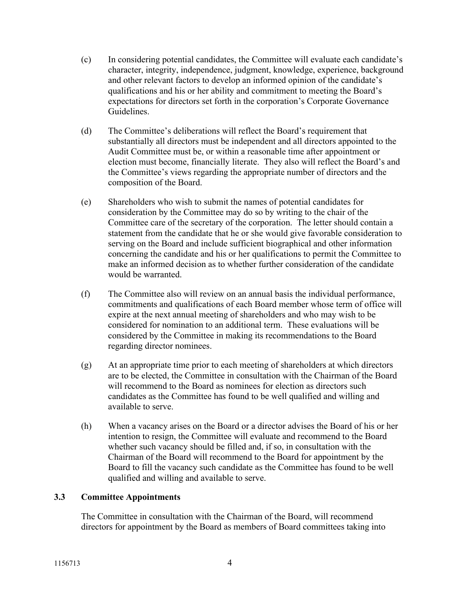- (c) In considering potential candidates, the Committee will evaluate each candidate's character, integrity, independence, judgment, knowledge, experience, background and other relevant factors to develop an informed opinion of the candidate's qualifications and his or her ability and commitment to meeting the Board's expectations for directors set forth in the corporation's Corporate Governance Guidelines.
- (d) The Committee's deliberations will reflect the Board's requirement that substantially all directors must be independent and all directors appointed to the Audit Committee must be, or within a reasonable time after appointment or election must become, financially literate. They also will reflect the Board's and the Committee's views regarding the appropriate number of directors and the composition of the Board.
- (e) Shareholders who wish to submit the names of potential candidates for consideration by the Committee may do so by writing to the chair of the Committee care of the secretary of the corporation. The letter should contain a statement from the candidate that he or she would give favorable consideration to serving on the Board and include sufficient biographical and other information concerning the candidate and his or her qualifications to permit the Committee to make an informed decision as to whether further consideration of the candidate would be warranted.
- (f) The Committee also will review on an annual basis the individual performance, commitments and qualifications of each Board member whose term of office will expire at the next annual meeting of shareholders and who may wish to be considered for nomination to an additional term. These evaluations will be considered by the Committee in making its recommendations to the Board regarding director nominees.
- (g) At an appropriate time prior to each meeting of shareholders at which directors are to be elected, the Committee in consultation with the Chairman of the Board will recommend to the Board as nominees for election as directors such candidates as the Committee has found to be well qualified and willing and available to serve.
- (h) When a vacancy arises on the Board or a director advises the Board of his or her intention to resign, the Committee will evaluate and recommend to the Board whether such vacancy should be filled and, if so, in consultation with the Chairman of the Board will recommend to the Board for appointment by the Board to fill the vacancy such candidate as the Committee has found to be well qualified and willing and available to serve.

# **3.3 Committee Appointments**

The Committee in consultation with the Chairman of the Board, will recommend directors for appointment by the Board as members of Board committees taking into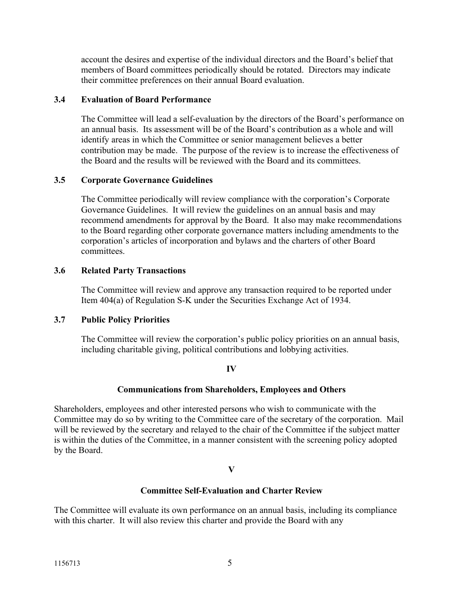account the desires and expertise of the individual directors and the Board's belief that members of Board committees periodically should be rotated. Directors may indicate their committee preferences on their annual Board evaluation.

# **3.4 Evaluation of Board Performance**

The Committee will lead a self-evaluation by the directors of the Board's performance on an annual basis. Its assessment will be of the Board's contribution as a whole and will identify areas in which the Committee or senior management believes a better contribution may be made. The purpose of the review is to increase the effectiveness of the Board and the results will be reviewed with the Board and its committees.

# **3.5 Corporate Governance Guidelines**

The Committee periodically will review compliance with the corporation's Corporate Governance Guidelines. It will review the guidelines on an annual basis and may recommend amendments for approval by the Board. It also may make recommendations to the Board regarding other corporate governance matters including amendments to the corporation's articles of incorporation and bylaws and the charters of other Board committees.

# **3.6 Related Party Transactions**

The Committee will review and approve any transaction required to be reported under Item 404(a) of Regulation S-K under the Securities Exchange Act of 1934.

### **3.7 Public Policy Priorities**

The Committee will review the corporation's public policy priorities on an annual basis, including charitable giving, political contributions and lobbying activities.

### **IV**

# **Communications from Shareholders, Employees and Others**

Shareholders, employees and other interested persons who wish to communicate with the Committee may do so by writing to the Committee care of the secretary of the corporation. Mail will be reviewed by the secretary and relayed to the chair of the Committee if the subject matter is within the duties of the Committee, in a manner consistent with the screening policy adopted by the Board.

### **V**

# **Committee Self-Evaluation and Charter Review**

The Committee will evaluate its own performance on an annual basis, including its compliance with this charter. It will also review this charter and provide the Board with any